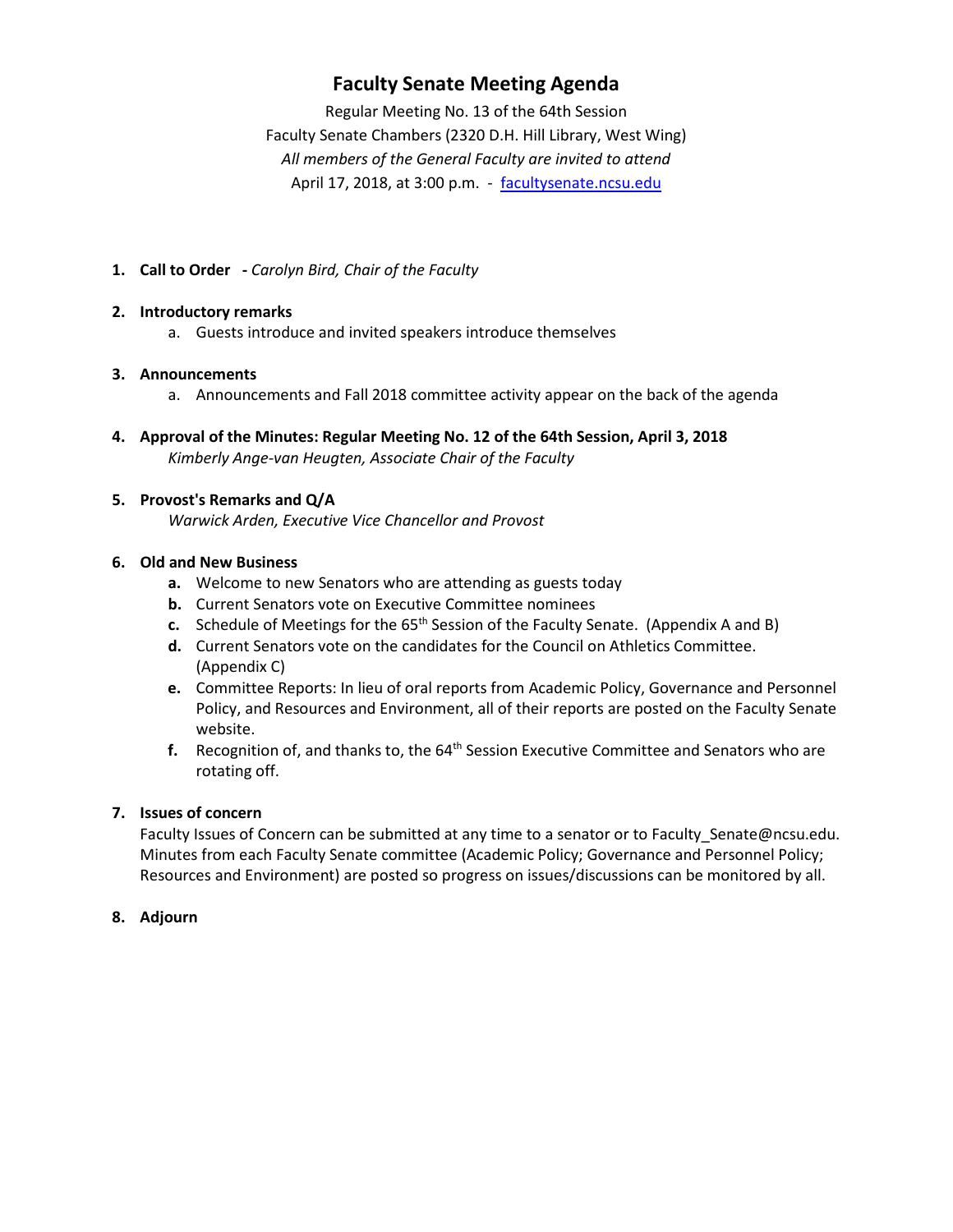## **Faculty Senate Meeting Agenda**

Regular Meeting No. 13 of the 64th Session Faculty Senate Chambers (2320 D.H. Hill Library, West Wing) *All members of the General Faculty are invited to attend* April 17, 2018, at 3:00 p.m. - [facultysenate.ncsu.edu](https://facultysenate.ncsu.edu/)

**1. Call to Order -** *Carolyn Bird, Chair of the Faculty*

#### **2. Introductory remarks**

a. Guests introduce and invited speakers introduce themselves

#### **3. Announcements**

- a. Announcements and Fall 2018 committee activity appear on the back of the agenda
- **4. Approval of the Minutes: Regular Meeting No. 12 of the 64th Session, April 3, 2018** *Kimberly Ange-van Heugten, Associate Chair of the Faculty*

#### **5. Provost's Remarks and Q/A**

*Warwick Arden, Executive Vice Chancellor and Provost*

#### **6. Old and New Business**

- **a.** Welcome to new Senators who are attending as guests today
- **b.** Current Senators vote on Executive Committee nominees
- **c.** Schedule of Meetings for the 65<sup>th</sup> Session of the Faculty Senate. (Appendix A and B)
- **d.** Current Senators vote on the candidates for the Council on Athletics Committee. (Appendix C)
- **e.** Committee Reports: In lieu of oral reports from Academic Policy, Governance and Personnel Policy, and Resources and Environment, all of their reports are posted on the Faculty Senate website.
- f. Recognition of, and thanks to, the 64<sup>th</sup> Session Executive Committee and Senators who are rotating off.

## **7. Issues of concern**

Faculty Issues of Concern can be submitted at any time to a senator or to Faculty\_Senate@ncsu.edu. Minutes from each Faculty Senate committee (Academic Policy; Governance and Personnel Policy; Resources and Environment) are posted so progress on issues/discussions can be monitored by all.

#### **8. Adjourn**